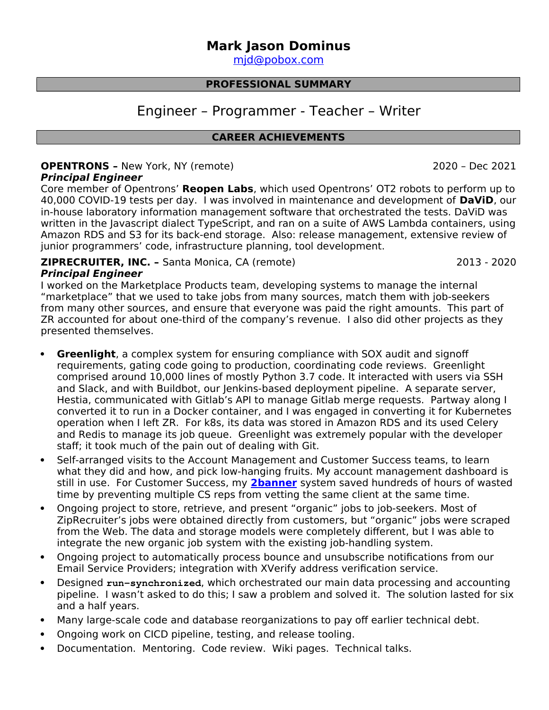# **Mark Jason Dominus**

 [mjd@ pobox .com](mailto:mjd@plover.com)

## **PROFESSIONAL SUMMARY**

# Engineer – Programmer - Teacher – Writer

## **CAREER ACHIEVEMENTS**

# **OPENTRONS –** New York, NY (remote) 2020 – Dec 2021 **Principal Engineer**

Core member of Opentrons' **Reopen Labs**, which used Opentrons' OT2 robots to perform up to 40,000 COVID-19 tests per day. I was involved in maintenance and development of **DaViD**, our in-house laboratory information management software that orchestrated the tests. DaViD was written in the Javascript dialect TypeScript, and ran on a suite of AWS Lambda containers, using Amazon RDS and S3 for its back-end storage. Also: release management, extensive review of junior programmers' code, infrastructure planning, tool development.

#### **ZIPRECRUITER, INC. –** Santa Monica, CA (remote) 2013 - 2020 **Principal Engineer**

I worked on the Marketplace Products team, developing systems to manage the internal "marketplace" that we used to take jobs from many sources, match them with job-seekers from many other sources, and ensure that everyone was paid the right amounts. This part of ZR accounted for about one-third of the company's revenue. I also did other projects as they presented themselves.

- **Greenlight**, a complex system for ensuring compliance with SOX audit and signoff requirements, gating code going to production, coordinating code reviews. Greenlight comprised around 10,000 lines of mostly Python 3.7 code. It interacted with users via SSH and Slack, and with Buildbot, our Jenkins-based deployment pipeline. A separate server, Hestia, communicated with Gitlab's API to manage Gitlab merge requests. Partway along I converted it to run in a Docker container, and I was engaged in converting it for Kubernetes operation when I left ZR. For k8s, its data was stored in Amazon RDS and its used Celery and Redis to manage its job queue. Greenlight was extremely popular with the developer staff; it took much of the pain out of dealing with Git.
- Self-arranged visits to the Account Management and Customer Success teams, to learn what they did and how, and pick low-hanging fruits. My account management dashboard is still in use. For Customer Success, my **[2banner](https://github.com/ZipRecruiter/2banner)** system saved hundreds of hours of wasted time by preventing multiple CS reps from vetting the same client at the same time.
- Ongoing project to store, retrieve, and present "organic" jobs to job-seekers. Most of ZipRecruiter's jobs were obtained directly from customers, but "organic" jobs were scraped from the Web. The data and storage models were completely different, but I was able to integrate the new organic job system with the existing job-handling system.
- Ongoing project to automatically process bounce and unsubscribe notifications from our Email Service Providers; integration with XVerify address verification service.
- Designed **run-synchronized**, which orchestrated our main data processing and accounting pipeline. I wasn't asked to do this; I saw a problem and solved it. The solution lasted for six and a half years.
- Many large-scale code and database reorganizations to pay off earlier technical debt.
- Ongoing work on CICD pipeline, testing, and release tooling.
- Documentation. Mentoring. Code review. Wiki pages. Technical talks.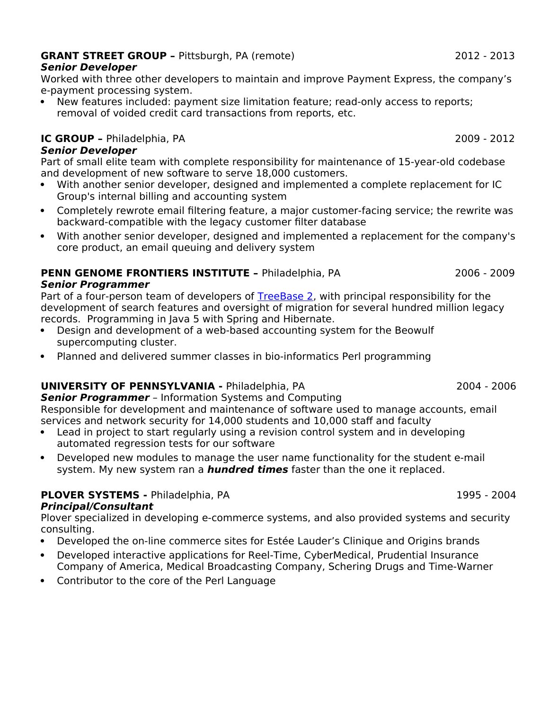# **GRANT STREET GROUP –** Pittsburgh, PA (remote) 2012 - 2013

# **Senior Developer**

Worked with three other developers to maintain and improve Payment Express, the company's e-payment processing system.

 New features included: payment size limitation feature; read-only access to reports; removal of voided credit card transactions from reports, etc.

# **IC GROUP -** Philadelphia, PA 2009 - 2012

**Senior Developer**

Part of small elite team with complete responsibility for maintenance of 15-year-old codebase and development of new software to serve 18,000 customers.

- With another senior developer, designed and implemented a complete replacement for IC Group's internal billing and accounting system
- Completely rewrote email filtering feature, a major customer-facing service; the rewrite was backward-compatible with the legacy customer filter database
- With another senior developer, designed and implemented a replacement for the company's core product, an email queuing and delivery system

#### **PENN GENOME FRONTIERS INSTITUTE - Philadelphia, PA** 2006 - 2009 **Senior Programmer**

Part of a four-person team of developers of [TreeBase 2,](https://www.treebase.org/treebase-web/search/treeTopSearch.html) with principal responsibility for the development of search features and oversight of migration for several hundred million legacy records. Programming in Java 5 with Spring and Hibernate.

- Design and development of a web-based accounting system for the Beowulf supercomputing cluster.
- Planned and delivered summer classes in bio-informatics Perl programming

# **UNIVERSITY OF PENNSYLVANIA -** Philadelphia, PA 2004 - 2006

**Senior Programmer** – Information Systems and Computing Responsible for development and maintenance of software used to manage accounts, email

- services and network security for 14,000 students and 10,000 staff and faculty Lead in project to start regularly using a revision control system and in developing
- automated regression tests for our software
- Developed new modules to manage the user name functionality for the student e-mail system. My new system ran a **hundred times** faster than the one it replaced.

# **PLOVER SYSTEMS - Philadelphia, PA 1995 - 2004**

# **Principal/Consultant**

Plover specialized in developing e-commerce systems, and also provided systems and security consulting.

- Developed the on-line commerce sites for Estée Lauder's Clinique and Origins brands
- Developed interactive applications for Reel-Time, CyberMedical, Prudential Insurance Company of America, Medical Broadcasting Company, Schering Drugs and Time-Warner
- Contributor to the core of the Perl Language